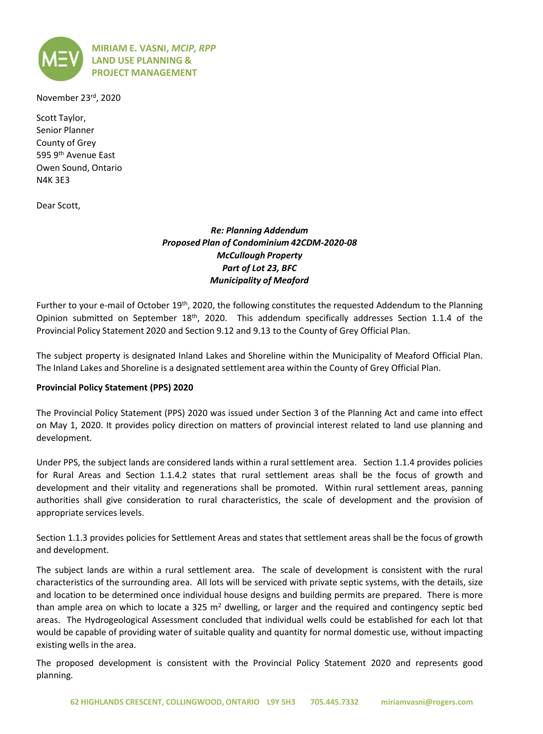

November 23rd, 2020

Scott Taylor, Senior Planner County of Grey 595 9th Avenue East Owen Sound, Ontario N4K 3E3

Dear Scott,

# *Re: Planning Addendum Proposed Plan of Condominium 42CDM-2020-08 McCullough Property Part of Lot 23, BFC Municipality of Meaford*

Further to your e-mail of October 19<sup>th</sup>, 2020, the following constitutes the requested Addendum to the Planning Opinion submitted on September 18<sup>th</sup>, 2020. This addendum specifically addresses Section 1.1.4 of the Provincial Policy Statement 2020 and Section 9.12 and 9.13 to the County of Grey Official Plan.

The subject property is designated Inland Lakes and Shoreline within the Municipality of Meaford Official Plan. The Inland Lakes and Shoreline is a designated settlement area within the County of Grey Official Plan.

#### **Provincial Policy Statement (PPS) 2020**

The Provincial Policy Statement (PPS) 2020 was issued under Section 3 of the Planning Act and came into effect on May 1, 2020. It provides policy direction on matters of provincial interest related to land use planning and development.

Under PPS, the subject lands are considered lands within a rural settlement area. Section 1.1.4 provides policies for Rural Areas and Section 1.1.4.2 states that rural settlement areas shall be the focus of growth and development and their vitality and regenerations shall be promoted. Within rural settlement areas, panning authorities shall give consideration to rural characteristics, the scale of development and the provision of appropriate services levels.

Section 1.1.3 provides policies for Settlement Areas and states that settlement areas shall be the focus of growth and development.

The subject lands are within a rural settlement area. The scale of development is consistent with the rural characteristics of the surrounding area. All lots will be serviced with private septic systems, with the details, size and location to be determined once individual house designs and building permits are prepared. There is more than ample area on which to locate a 325  $m<sup>2</sup>$  dwelling, or larger and the required and contingency septic bed areas. The Hydrogeological Assessment concluded that individual wells could be established for each lot that would be capable of providing water of suitable quality and quantity for normal domestic use, without impacting existing wells in the area.

The proposed development is consistent with the Provincial Policy Statement 2020 and represents good planning.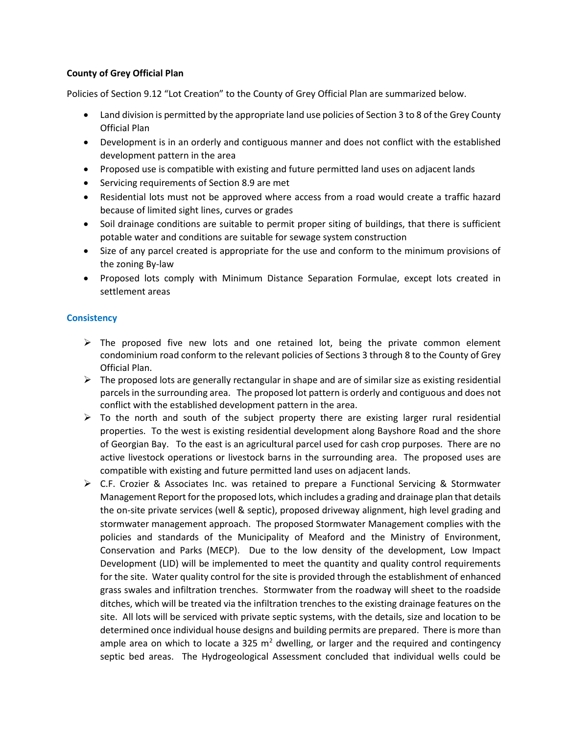## **County of Grey Official Plan**

Policies of Section 9.12 "Lot Creation" to the County of Grey Official Plan are summarized below.

- Land division is permitted by the appropriate land use policies of Section 3 to 8 of the Grey County Official Plan
- Development is in an orderly and contiguous manner and does not conflict with the established development pattern in the area
- Proposed use is compatible with existing and future permitted land uses on adjacent lands
- Servicing requirements of Section 8.9 are met
- Residential lots must not be approved where access from a road would create a traffic hazard because of limited sight lines, curves or grades
- Soil drainage conditions are suitable to permit proper siting of buildings, that there is sufficient potable water and conditions are suitable for sewage system construction
- Size of any parcel created is appropriate for the use and conform to the minimum provisions of the zoning By-law
- Proposed lots comply with Minimum Distance Separation Formulae, except lots created in settlement areas

## **Consistency**

- $\triangleright$  The proposed five new lots and one retained lot, being the private common element condominium road conform to the relevant policies of Sections 3 through 8 to the County of Grey Official Plan.
- $\triangleright$  The proposed lots are generally rectangular in shape and are of similar size as existing residential parcels in the surrounding area. The proposed lot pattern is orderly and contiguous and does not conflict with the established development pattern in the area.
- $\triangleright$  To the north and south of the subject property there are existing larger rural residential properties. To the west is existing residential development along Bayshore Road and the shore of Georgian Bay. To the east is an agricultural parcel used for cash crop purposes. There are no active livestock operations or livestock barns in the surrounding area. The proposed uses are compatible with existing and future permitted land uses on adjacent lands.
- ➢ C.F. Crozier & Associates Inc. was retained to prepare a Functional Servicing & Stormwater Management Report for the proposed lots, which includes a grading and drainage plan that details the on-site private services (well & septic), proposed driveway alignment, high level grading and stormwater management approach. The proposed Stormwater Management complies with the policies and standards of the Municipality of Meaford and the Ministry of Environment, Conservation and Parks (MECP). Due to the low density of the development, Low Impact Development (LID) will be implemented to meet the quantity and quality control requirements for the site. Water quality control for the site is provided through the establishment of enhanced grass swales and infiltration trenches. Stormwater from the roadway will sheet to the roadside ditches, which will be treated via the infiltration trenches to the existing drainage features on the site. All lots will be serviced with private septic systems, with the details, size and location to be determined once individual house designs and building permits are prepared. There is more than ample area on which to locate a 325  $m^2$  dwelling, or larger and the required and contingency septic bed areas. The Hydrogeological Assessment concluded that individual wells could be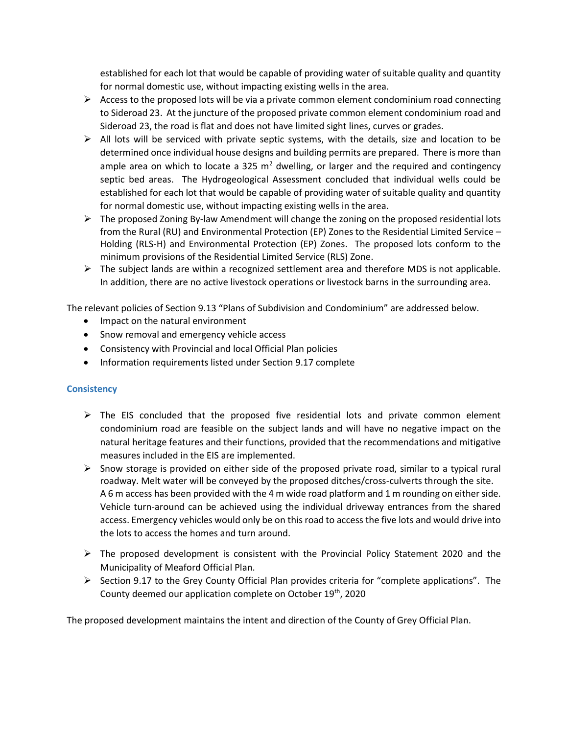established for each lot that would be capable of providing water of suitable quality and quantity for normal domestic use, without impacting existing wells in the area.

- $\triangleright$  Access to the proposed lots will be via a private common element condominium road connecting to Sideroad 23. At the juncture of the proposed private common element condominium road and Sideroad 23, the road is flat and does not have limited sight lines, curves or grades.
- $\triangleright$  All lots will be serviced with private septic systems, with the details, size and location to be determined once individual house designs and building permits are prepared. There is more than ample area on which to locate a 325  $m^2$  dwelling, or larger and the required and contingency septic bed areas. The Hydrogeological Assessment concluded that individual wells could be established for each lot that would be capable of providing water of suitable quality and quantity for normal domestic use, without impacting existing wells in the area.
- $\triangleright$  The proposed Zoning By-law Amendment will change the zoning on the proposed residential lots from the Rural (RU) and Environmental Protection (EP) Zones to the Residential Limited Service – Holding (RLS-H) and Environmental Protection (EP) Zones. The proposed lots conform to the minimum provisions of the Residential Limited Service (RLS) Zone.
- $\triangleright$  The subject lands are within a recognized settlement area and therefore MDS is not applicable. In addition, there are no active livestock operations or livestock barns in the surrounding area.

The relevant policies of Section 9.13 "Plans of Subdivision and Condominium" are addressed below.

- Impact on the natural environment
- Snow removal and emergency vehicle access
- Consistency with Provincial and local Official Plan policies
- Information requirements listed under Section 9.17 complete

## **Consistency**

- $\triangleright$  The EIS concluded that the proposed five residential lots and private common element condominium road are feasible on the subject lands and will have no negative impact on the natural heritage features and their functions, provided that the recommendations and mitigative measures included in the EIS are implemented.
- $\triangleright$  Snow storage is provided on either side of the proposed private road, similar to a typical rural roadway. Melt water will be conveyed by the proposed ditches/cross-culverts through the site. A 6 m access has been provided with the 4 m wide road platform and 1 m rounding on either side. Vehicle turn-around can be achieved using the individual driveway entrances from the shared access. Emergency vehicles would only be on this road to access the five lots and would drive into the lots to access the homes and turn around.
- $\triangleright$  The proposed development is consistent with the Provincial Policy Statement 2020 and the Municipality of Meaford Official Plan.
- ➢ Section 9.17 to the Grey County Official Plan provides criteria for "complete applications". The County deemed our application complete on October 19<sup>th</sup>, 2020

The proposed development maintains the intent and direction of the County of Grey Official Plan.